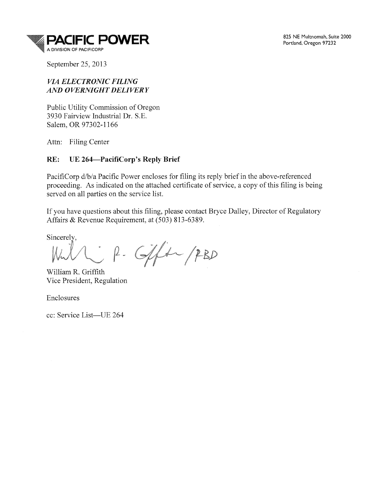

September 25, 2013

# *VIA ELECTRONIC FILING AND OVERNIGHT DELIVERY*

Public Utility Commission of Oregon 3930 Fairview Industrial Dr. S.E. Salem, OR 97302-1166

Attn: Filing Center

# RE: UE 264—PacifiCorp's Reply Brief

PacifiCorp d/b/a Pacific Power encloses for filing its reply brief in the above-referenced proceeding. As indicated on the attached certificate of service, a copy of this filing is being served on all parties on the service list.

If you have questions about this filing, please contact Bryce Dalley, Director of Regulatory Affairs & Revenue Requirement, at (503) 813-6389.

Sincerely.

P. Gift PBD

William R. Griffith Vice President, Regulation

Enclosures

cc: Service List-UE 264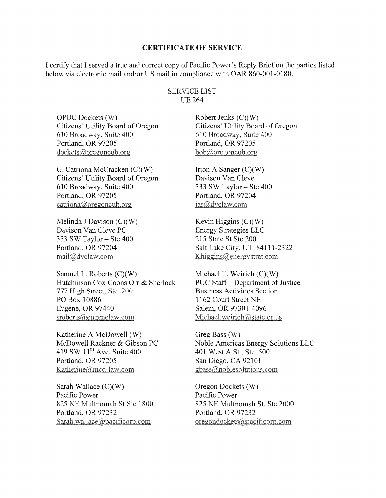#### CERTIFICATE OF SERVICE

I certify that I served a true and correct copy of Pacific Power's Reply Brief on the parties listed below via electronic mail and/or US mail in compliance with OAR 860-001-0180.

#### SERVICE LIST UE 264

OPUC Dockets (W) Citizens' Utility Board of Oregon 610 Broadway, Suite 400 Portland, OR 97205  $dockets@oregon cub.org$ 

G. Catriona McCracken (C)(W) Citizens' Utility Board of Oregon 610 Broadway, Suite 400 Portland, OR 97205  $cational\omega$  or egoncub.org

Melinda J Davison (C)(W) Davison Van Cleve PC 333 SW Taylor- Ste 400 Portland, OR 97204 mail@dvclaw.com

Samuel L. Roberts (C)(W) Hutchinson Cox Coons Orr & Sherlock 777 High Street, Ste. 200 PO Box 10886 Eugene, OR 97440 sroberts@eugenelaw.com

Katherine A McDowell (W) McDowell Rackner & Gibson PC 419 SW  $11<sup>th</sup>$  Ave, Suite 400 Portland, OR 97205 Katherine@mcd-law.com

Sarah Wallace  $(C)(W)$ Pacific Power 825 NE Multnomah St Ste 1800 Portland, OR 97232 Sarah.wallace@pacificorp.com

Robert Jenks (C)(W) Citizens' Utility Board of Oregon 610 Broadway, Suite 400 Portland, OR 97205 bob@oregoncub.org

Irion A Sanger  $(C)(W)$ Davison Van Cleve 333 SW Taylor- Ste 400 Portland, OR 97204 ias@dvclaw.com

Kevin Higgins  $(C)(W)$ Energy Strategies LLC 215 State St Ste 200 Salt Lake City, UT 84111-2322 Khiggins@energystrat.com

Michael T. Weirich (C)(W) PUC Staff- Department of Justice Business Activities Section 1162 Court Street NE Salem, OR 97301-4096 Michael.weirich@state.or.us

Greg Bass (W) Noble Americas Energy Solutions LLC 401 West A St., Ste. 500 San Diego, CA 92101 gbass@noblesolutions.com

Oregon Dockets (W) Pacific Power 825 NE Multnomah St, Ste 2000 Portland, OR 97232 oregondockets@pacificorp.com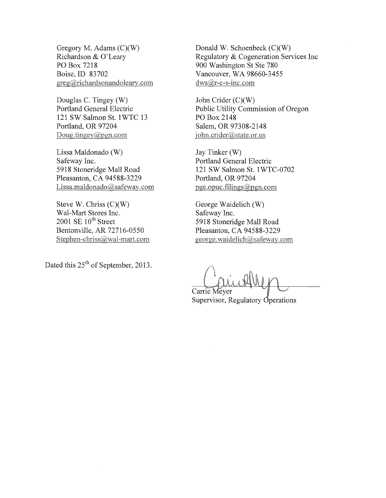Gregory M. Adams (C)(W) Richardson & O'Leary PO Box 7218 Boise, ID 83702  $greg(\partial; richardson and oleary.com)$ 

Douglas C. Tingey (W) Portland General Electric 121 SW Salmon St. 1 WTC 13 Portland, OR 97204 Doug.tingey@pgn.com

Lissa Maldonado (W) Safeway Inc. 5918 Stoneridge Mall Road Pleasanton, CA 94588-3229 Lissa.maldonado@safeway.com

Steve W. Chriss (C)(W) Wal-Mart Stores Inc. 2001 SE  $10^{th}$  Street Bentonville, AR 72716-0550 Stephen-chriss@wal-mart.com

Dated this 25<sup>th</sup> of September, 2013.

Donald W. Schoenbeck (C)(W) Regulatory & Cogeneration Services Inc 900 Washington St Ste 780 Vancouver, WA 98660-3455  $dws@r-c-s-inc.com$ 

John Crider (C)(W) Public Utility Commission of Oregon PO Box 2148 Salem, OR 97308-2148 iohn.crider@state.or.us

Jay Tinker (W) Portland General Electric 121 SW Salmon St. 1 WTC-0702 Portland, OR 97204 pge.opuc.filings@pgn.com

George Waidelich (W) Safeway Inc. 5918 Stoneridge Mall Road Pleasanton, CA 94588-3229<br>george.waidelich@safeway.com

Carrie Meyer Supervisor, Regulatory Operations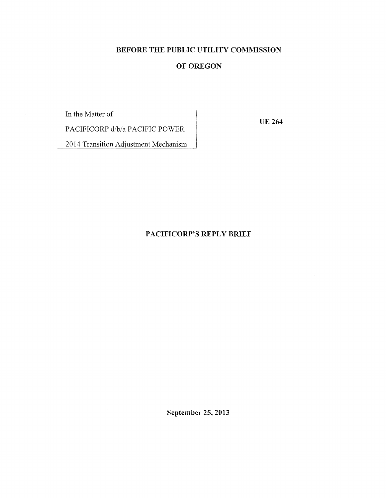# BEFORE THE PUBLIC UTILITY COMMISSION

# OF OREGON

In the Matter of

UE 264

PACIFICORP d/b/a PACIFIC POWER

2014 Transition Adjustment Mechanism.

# PACIFICORP'S REPLY BRIEF

September 25, 2013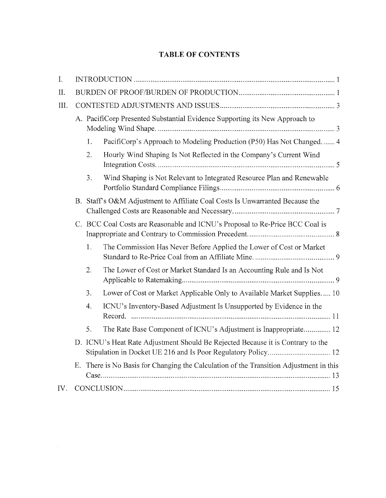# TABLE OF CONTENTS

| I.   |    |                                                                             |                                                                                                                                                  |  |
|------|----|-----------------------------------------------------------------------------|--------------------------------------------------------------------------------------------------------------------------------------------------|--|
| II.  |    |                                                                             |                                                                                                                                                  |  |
| III. |    |                                                                             |                                                                                                                                                  |  |
|      |    | A. PacifiCorp Presented Substantial Evidence Supporting its New Approach to |                                                                                                                                                  |  |
|      |    | 1.                                                                          | PacifiCorp's Approach to Modeling Production (P50) Has Not Changed 4                                                                             |  |
|      |    | 2.                                                                          | Hourly Wind Shaping Is Not Reflected in the Company's Current Wind                                                                               |  |
|      |    | 3.                                                                          | Wind Shaping is Not Relevant to Integrated Resource Plan and Renewable                                                                           |  |
|      |    |                                                                             | B. Staff's O&M Adjustment to Affiliate Coal Costs Is Unwarranted Because the                                                                     |  |
|      |    |                                                                             | C. BCC Coal Costs are Reasonable and ICNU's Proposal to Re-Price BCC Coal is                                                                     |  |
|      |    | 1.                                                                          | The Commission Has Never Before Applied the Lower of Cost or Market                                                                              |  |
|      |    | 2.                                                                          | The Lower of Cost or Market Standard Is an Accounting Rule and Is Not                                                                            |  |
|      |    | 3.                                                                          | Lower of Cost or Market Applicable Only to Available Market Supplies 10                                                                          |  |
|      |    | $\overline{4}$ .                                                            | ICNU's Inventory-Based Adjustment Is Unsupported by Evidence in the                                                                              |  |
|      |    | 5.                                                                          | The Rate Base Component of ICNU's Adjustment is Inappropriate 12                                                                                 |  |
|      |    |                                                                             | D. ICNU's Heat Rate Adjustment Should Be Rejected Because it is Contrary to the<br>Stipulation in Docket UE 216 and Is Poor Regulatory Policy 12 |  |
|      | Ε. |                                                                             | There is No Basis for Changing the Calculation of the Transition Adjustment in this                                                              |  |
| IV.  |    |                                                                             |                                                                                                                                                  |  |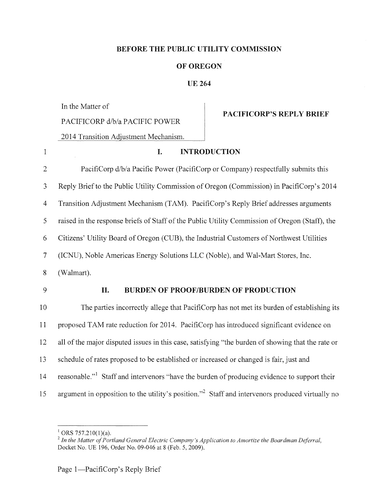#### BEFORE THE PUBLIC UTILITY COMMISSION

#### OF OREGON

# UE 264

In the Matter of

PACIFICORP d/b/a PACIFIC POWER

PACIFICORP'S REPLY BRIEF

2014 Transition Adjustment Mechanism.

| $\mathbf{1}$   | <b>INTRODUCTION</b><br>I.                                                                                   |
|----------------|-------------------------------------------------------------------------------------------------------------|
| $\overline{2}$ | PacifiCorp d/b/a Pacific Power (PacifiCorp or Company) respectfully submits this                            |
| 3              | Reply Brief to the Public Utility Commission of Oregon (Commission) in PacifiCorp's 2014                    |
| $\overline{4}$ | Transition Adjustment Mechanism (TAM). PacifiCorp's Reply Brief addresses arguments                         |
| 5              | raised in the response briefs of Staff of the Public Utility Commission of Oregon (Staff), the              |
| 6              | Citizens' Utility Board of Oregon (CUB), the Industrial Customers of Northwest Utilities                    |
| $\overline{7}$ | (ICNU), Noble Americas Energy Solutions LLC (Noble), and Wal-Mart Stores, Inc.                              |
| 8              | (Walmart).                                                                                                  |
| 9              | BURDEN OF PROOF/BURDEN OF PRODUCTION<br>II.                                                                 |
| 10             | The parties incorrectly allege that PacifiCorp has not met its burden of establishing its                   |
| 11             | proposed TAM rate reduction for 2014. PacifiCorp has introduced significant evidence on                     |
| 12             | all of the major disputed issues in this case, satisfying "the burden of showing that the rate or           |
| 13             | schedule of rates proposed to be established or increased or changed is fair, just and                      |
| 14             | reasonable." Staff and intervenors "have the burden of producing evidence to support their                  |
| 15             | argument in opposition to the utility's position." <sup>2</sup> Staff and intervenors produced virtually no |

<sup>&</sup>lt;sup>1</sup> ORS 757.210(1)(a).<br><sup>2</sup> In the Matter of Portland General Electric Company's Application to Amortize the Boardman Deferral, Docket No. UE 196, Order No. 09-046 at 8 (Feb. 5, 2009).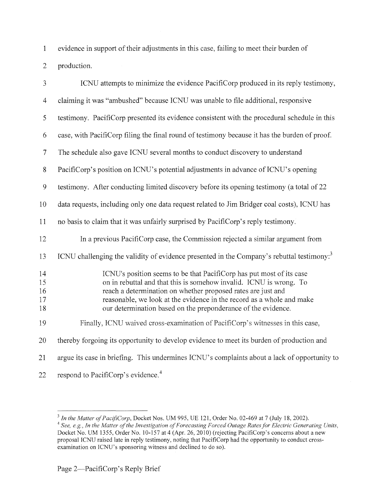1 evidence in support of their adjustments in this case, failing to meet their burden of

2 production.

| 3                          | ICNU attempts to minimize the evidence PacifiCorp produced in its reply testimony,                                                                                                                                                                                                                                                                   |
|----------------------------|------------------------------------------------------------------------------------------------------------------------------------------------------------------------------------------------------------------------------------------------------------------------------------------------------------------------------------------------------|
| $\overline{4}$             | claiming it was "ambushed" because ICNU was unable to file additional, responsive                                                                                                                                                                                                                                                                    |
| 5                          | testimony. PacifiCorp presented its evidence consistent with the procedural schedule in this                                                                                                                                                                                                                                                         |
| 6                          | case, with PacifiCorp filing the final round of testimony because it has the burden of proof.                                                                                                                                                                                                                                                        |
| $\tau$                     | The schedule also gave ICNU several months to conduct discovery to understand                                                                                                                                                                                                                                                                        |
| $8\,$                      | PacifiCorp's position on ICNU's potential adjustments in advance of ICNU's opening                                                                                                                                                                                                                                                                   |
| 9                          | testimony. After conducting limited discovery before its opening testimony (a total of 22                                                                                                                                                                                                                                                            |
| 10                         | data requests, including only one data request related to Jim Bridger coal costs), ICNU has                                                                                                                                                                                                                                                          |
| 11                         | no basis to claim that it was unfairly surprised by PacifiCorp's reply testimony.                                                                                                                                                                                                                                                                    |
| 12                         | In a previous PacifiCorp case, the Commission rejected a similar argument from                                                                                                                                                                                                                                                                       |
| 13                         | ICNU challenging the validity of evidence presented in the Company's rebuttal testimony. <sup>3</sup>                                                                                                                                                                                                                                                |
| 14<br>15<br>16<br>17<br>18 | ICNU's position seems to be that PacifiCorp has put most of its case<br>on in rebuttal and that this is somehow invalid. ICNU is wrong. To<br>reach a determination on whether proposed rates are just and<br>reasonable, we look at the evidence in the record as a whole and make<br>our determination based on the preponderance of the evidence. |
| 19                         | Finally, ICNU waived cross-examination of PacifiCorp's witnesses in this case,                                                                                                                                                                                                                                                                       |
| 20                         | thereby forgoing its opportunity to develop evidence to meet its burden of production and                                                                                                                                                                                                                                                            |
| 21                         | argue its case in briefing. This undermines ICNU's complaints about a lack of opportunity to                                                                                                                                                                                                                                                         |
| 22                         | respond to PacifiCorp's evidence. <sup>4</sup>                                                                                                                                                                                                                                                                                                       |

<sup>&</sup>lt;sup>3</sup> In the Matter of PacifiCorp, Docket Nos. UM 995, UE 121, Order No. 02-469 at 7 (July 18, 2002).<br><sup>4</sup> See, e.g., In the Matter of the Investigation of Forecasting Forced Outage Rates for Electric Generating Units, Docket No. UM 1355, Order No. 10-157 at 4 (Apr. 26, 2010) (rejecting PacifiCorp's concerns about a new proposal ICNU raised late in reply testimony, noting that PacifiCorp had the opportunity to conduct crossexamination on ICNU's sponsoring witness and declined to do so).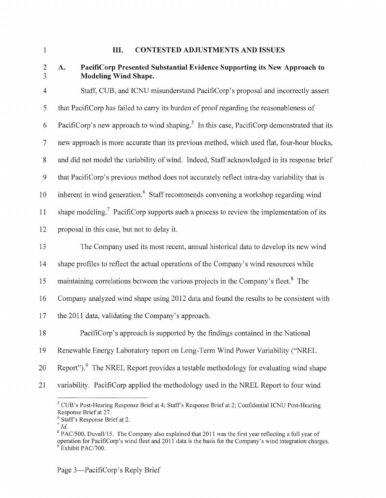3

#### 1 **III.** CONTESTED ADJUSTMENTS AND ISSUES

# 2 A.

# PacifiCorp Presented Substantial Evidence Supporting its New Approach to Modeling Wind Shape.

4 Staff, CUB, and ICNU misunderstand PacifiCorp's proposal and incorrectly assert 5 that Pacifi Corp has failed to carry its burden of proof regarding the reasonableness of 6 Pacificorp's new approach to wind shaping.<sup>5</sup> In this case, Pacificorp demonstrated that its 7 new approach is more accurate than its previous method, which used flat, four-hour blocks, 8 and did not model the variability of wind. Indeed, Staff acknowledged in its response brief 9 that PacifiCorp's previous method does not accurately reflect intra-day variability that is 10 inherent in wind generation.<sup>6</sup> Staff recommends convening a workshop regarding wind 11 shape modeling.<sup>7</sup> Pacifi Corp supports such a process to review the implementation of its 12 proposal in this case, but not to delay it. 13 The Company used its most recent, annual historical data to develop its new wind

14 shape profiles to reflect the actual operations of the Company's wind resources while

15 maintaining correlations between the various projects in the Company's fleet.<sup>8</sup> The

16 Company analyzed wind shape using 2012 data and found the results to be consistent with

17 the 2011 data, validating the Company's approach.

18 PacifiCorp's approach is supported by the findings contained in the National

- 19 Renewable Energy Laboratory report on Long-Term Wind Power Variability ("NREL
- 20 Report").<sup>9</sup> The NREL Report provides a testable methodology for evaluating wind shape
- 21 variability. PacifiCorp applied the methodology used in the NREL Report to four wind

 $5$  CUB's Post-Hearing Response Brief at 4; Staff's Response Brief at 2; Confidential ICNU Post-Hearing Response Brief at 27.

 $6$  Staff's Response Brief at 2.

 $^7$  Id.

<sup>&</sup>lt;sup>8</sup> PAC/500, Duvall/15. The Company also explained that 2011 was the first year reflecting a full year of operation for PacifiCorp's wind fleet and 2011 data is the basis for the Company's wind integration charges. 9 Exhibit PAC/700.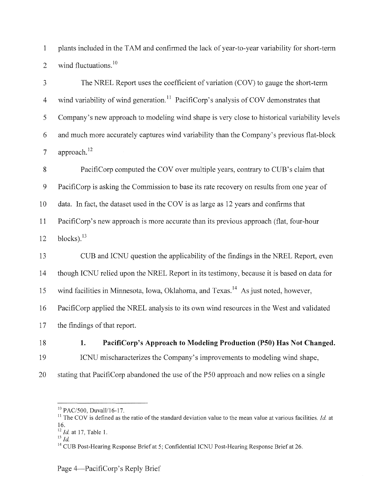1 plants included in the TAM and confirmed the lack of year-to-year variability for short-term 2 wind fluctuations. $10$ 

3 The NREL Report uses the coefficient of variation (COV) to gauge the short-term 4 wind variability of wind generation.<sup>11</sup> PacifiCorp's analysis of COV demonstrates that 5 Company's new approach to modeling wind shape is very close to historical variability levels 6 and much more accurately captures wind variability than the Company's previous flat-block 7 approach. $12$ 

8 PacifiCorp computed the COV over multiple years, contrary to CUB's claim that 9 PacifiCorp is asking the Commission to base its rate recovery on results from one year of 10 data. In fact, the dataset used in the COV is as large as 12 years and confirms that 11 PacifiCorp's new approach is more accurate than its previous approach (flat, four-hour  $12 \text{ blocks}$ .  $^{13}$ 

13 CUB and ICNU question the applicability of the findings in the NREL Report, even 14 though ICNU relied upon the NREL Report in its testimony, because it is based on data for 15 wind facilities in Minnesota, Iowa, Oklahoma, and Texas.<sup>14</sup> As just noted, however, 16 PacifiCorp applied the NREL analysis to its own wind resources in the West and validated 17 the findings of that report.

- 18 **1. PacifiCorp's Approach to Modeling Production (PSO) Has** Not **Changed.**  19 ICNU mischaracterizes the Company's improvements to modeling wind shape,
- 20 stating that PacifiCorp abandoned the use of the P50 approach and now relies on a single

<sup>&</sup>lt;sup>10</sup> PAC/500, Duvall/16-17.<br><sup>11</sup> The COV is defined as the ratio of the standard deviation value to the mean value at various facilities. *Id.* at 16.

 $\frac{12}{13}$  *Id.* at 17, Table 1.

<sup>&</sup>lt;sup>14</sup> CUB Post-Hearing Response Brief at 5; Confidential ICNU Post-Hearing Response Brief at 26.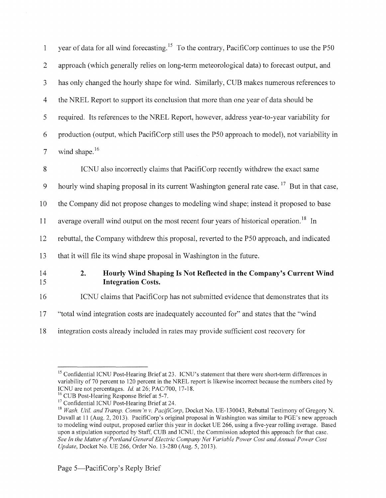| $\mathbf{1}$   | year of data for all wind forecasting. <sup>15</sup> To the contrary, PacifiCorp continues to use the P50 |
|----------------|-----------------------------------------------------------------------------------------------------------|
| $\overline{2}$ | approach (which generally relies on long-term meteorological data) to forecast output, and                |
| 3              | has only changed the hourly shape for wind. Similarly, CUB makes numerous references to                   |
| $\overline{4}$ | the NREL Report to support its conclusion that more than one year of data should be                       |
| 5              | required. Its references to the NREL Report, however, address year-to-year variability for                |
| 6              | production (output, which PacifiCorp still uses the P50 approach to model), not variability in            |
| $\overline{7}$ | wind shape. <sup>16</sup>                                                                                 |
| 8              | ICNU also incorrectly claims that PacifiCorp recently withdrew the exact same                             |
| 9              | hourly wind shaping proposal in its current Washington general rate case. <sup>17</sup> But in that case, |
| 10             | the Company did not propose changes to modeling wind shape; instead it proposed to base                   |
| 11             | average overall wind output on the most recent four years of historical operation. <sup>18</sup> In       |
| 12             | rebuttal, the Company withdrew this proposal, reverted to the P50 approach, and indicated                 |
| 13             | that it will file its wind shape proposal in Washington in the future.                                    |
| 14<br>15       | 2.<br>Hourly Wind Shaping Is Not Reflected in the Company's Current Wind<br><b>Integration Costs.</b>     |
| 16             | ICNU claims that PacifiCorp has not submitted evidence that demonstrates that its                         |
| 17             | "total wind integration costs are inadequately accounted for" and states that the "wind"                  |
| 18             | integration costs already included in rates may provide sufficient cost recovery for                      |

<sup>&</sup>lt;sup>15</sup> Confidential ICNU Post-Hearing Brief at 23. ICNU's statement that there were short-term differences in variability of 70 percent to 120 percent in the NREL report is likewise incorrect because the numbers cited by ICNU are not percentages. *Id.* at 26; PAC/700, 17-18.

<sup>&</sup>lt;sup>16</sup> CUB Post-Hearing Response Brief at 5-7.<br><sup>17</sup> Confidential ICNU Post-Hearing Brief at 24.<br><sup>18</sup> Wash. Util. and Transp. Comm'n v. PacifiCorp, Docket No. UE-130043, Rebuttal Testimony of Gregory N. Duvall at 11 (Aug. 2, 2013). PacifiCorp's original proposal in Washington was similar to PGE's new approach to modeling wind output, proposed earlier this year in docket UE 266, using a five-year rolling average. Based upon a stipulation supported by Staff, CUB and ICNU, the Commission adopted this approach for that case. *See In the Matter of Portland General Electric Company Net Variable Power Cost and Annual Power Cost Update,* Docket No. UE 266, Order No. 13-280 (Aug. 5, 2013).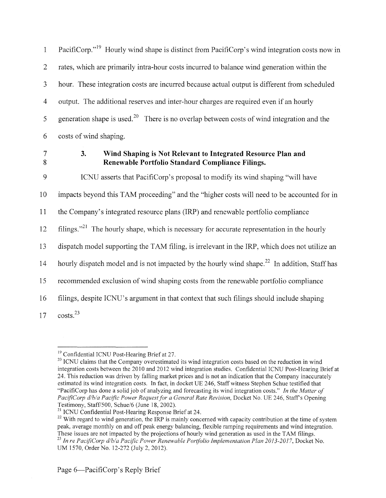1 PacifiCorp."<sup>19</sup> Hourly wind shape is distinct from PacifiCorp's wind integration costs now in 2 rates, which are primarily intra-hour costs incurred to balance wind generation within the 3 hour. These integration costs are incurred because actual output is different from scheduled 4 output. The additional reserves and inter-hour charges are required even if an hourly 5 generation shape is used.<sup>20</sup> There is no overlap between costs of wind integration and the 6 costs of wind shaping.

7 8

# **3. Wind Shaping is Not Relevant to Integrated Resource Plan and Renewable Portfolio Standard Compliance Filings.**

9 ICNU asserts that PacifiCorp's proposal to modify its wind shaping "will have 10 impacts beyond this TAM proceeding" and the "higher costs will need to be accounted for in 11 the Company's integrated resource plans (IRP) and renewable portfolio compliance 12 filings."<sup>21</sup> The hourly shape, which is necessary for accurate representation in the hourly 13 dispatch model supporting the TAM filing, is irrelevant in the IRP, which does not utilize an 14 hourly dispatch model and is not impacted by the hourly wind shape.<sup>22</sup> In addition, Staff has 15 recommended exclusion of wind shaping costs from the renewable portfolio compliance 16 filings, despite ICNU's argument in that context that such filings should include shaping  $17 \quad \text{costs.}^{23}$ 

<sup>&</sup>lt;sup>19</sup> Confidential ICNU Post-Hearing Brief at 27.<br><sup>20</sup> ICNU claims that the Company overestimated its wind integration costs based on the reduction in wind integration costs between the 2010 and 2012 wind integration studies. Confidential ICNU Post-Hearing Brief at 24. This reduction was driven by falling market prices and is not an indication that the Company inaccurately estimated its wind integration costs. In fact, in docket UE 246, Staff witness Stephen Schue testified that "PacifiCorp has done a solid job of analyzing and forecasting its wind integration costs." *In the Matter of PacifiCorp d/b/a Pacific Power Request for a General Rate Revision, Docket No. UE 246, Staff's Opening*<br>Testimony, Staff/500, Schue/6 (June 18, 2002).

<sup>&</sup>lt;sup>21</sup> ICNU Confidential Post-Hearing Response Brief at 24.  $\frac{22}{12}$  With regard to wind generation, the IRP is mainly concerned with capacity contribution at the time of system peak, average monthly on and off peak energy balancing, flexible ramping requirements and wind integration. These issues are not impacted by the projections of hourly wind generation as used in the TAM filings.<br><sup>23</sup> *In re PacifiCorp d/b/a Pacific Power Renewable Portfolio Implementation Plan 2013-2017, Docket No.* 

UM 1570, Order No. 12-272 (July 2, 2012).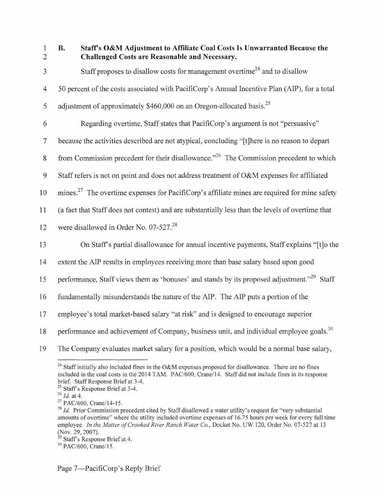1 2

## B. Staff's O&M Adjustment to Affiliate Coal Costs Is Unwarranted Because the Challenged Costs are Reasonable and Necessary.

 $3$  Staff proposes to disallow costs for management overtime<sup>24</sup> and to disallow 4 50 percent of the costs associated with PacifiCorp's Annual Incentive Plan (AIP), for a total 5 adjustment of approximately \$460,000 on an Oregon-allocated basis.<sup>25</sup> 6 Regarding overtime, Staff states that PacifiCorp's argument is not "persuasive" 7 because the activities described are not atypical, concluding "[t]here is no reason to depart

8 from Commission precedent for their disallowance."<sup>26</sup> The Commission precedent to which

9 Staff refers is not on point and does not address treatment of O&M expenses for affiliated

10 mines.<sup>27</sup> The overtime expenses for PacifiCorp's affiliate mines are required for mine safety

11 (a fact that Staff does not contest) and are substantially less than the levels of overtime that

12 were disallowed in Order No. 07-527.<sup>28</sup>

13 On Staff's partial disallowance for annual incentive payments, Staff explains "[t]o the

14 extent the AlP results in employees receiving more than base salary based upon good

15 performance, Staff views them as 'bonuses' and stands by its proposed adjustment."<sup>29</sup> Staff

16 fundamentally misunderstands the nature of the AIP. The AIP puts a portion of the

17 employee's total market-based salary "at risk" and is designed to encourage superior

18 performance and achievement of Company, business unit, and individual employee goals.<sup>30</sup>

19 The Company evaluates market salary for a position, which would be a normal base salary,

<sup>&</sup>lt;sup>24</sup> Staff initially also included fines in the O&M expenses proposed for disallowance. There are no fines included in the coal costs in the 2014 TAM. PAC/600, Crane/14. Staff did not include fines in its response brief. Staff Response Brief at 3-4.

<sup>&</sup>lt;sup>25</sup> Staff's Response Brief at 3-4.<br>
<sup>26</sup> *Id.* at 4.<br>
<sup>27</sup> PAC/600, Crane/14-15.<br>
<sup>27</sup> *Id.* Prior Commission precedent cited by Staff disallowed a water utility's request for "very substantial amounts of overtime" where the utility included overtime expenses of 16.75 hours per week for every full time employee. *In the Matter of Crooked River Ranch Water Co.*, Docket No. UW 120, Order No. 07-527 at 13 (Nov. 29, 2007).

<sup>&</sup>lt;sup>29</sup> Staff's Response Brief at 4.<br><sup>30</sup> PAC/600, Crane/15.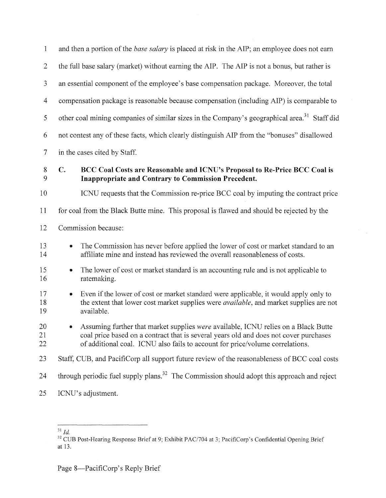| $\mathbf{1}$                | and then a portion of the <i>base salary</i> is placed at risk in the AIP; an employee does not earn                                                                                                                                                         |
|-----------------------------|--------------------------------------------------------------------------------------------------------------------------------------------------------------------------------------------------------------------------------------------------------------|
| $\overline{2}$              | the full base salary (market) without earning the AIP. The AIP is not a bonus, but rather is                                                                                                                                                                 |
| 3                           | an essential component of the employee's base compensation package. Moreover, the total                                                                                                                                                                      |
| $\overline{4}$              | compensation package is reasonable because compensation (including AIP) is comparable to                                                                                                                                                                     |
| 5                           | other coal mining companies of similar sizes in the Company's geographical area. <sup>31</sup> Staff did                                                                                                                                                     |
| 6                           | not contest any of these facts, which clearly distinguish AIP from the "bonuses" disallowed                                                                                                                                                                  |
| $\overline{7}$              | in the cases cited by Staff.                                                                                                                                                                                                                                 |
| $8\phantom{1}$<br>9         | $\mathbb{C}.$<br>BCC Coal Costs are Reasonable and ICNU's Proposal to Re-Price BCC Coal is<br>Inappropriate and Contrary to Commission Precedent.                                                                                                            |
| 10                          | ICNU requests that the Commission re-price BCC coal by imputing the contract price                                                                                                                                                                           |
| 11                          | for coal from the Black Butte mine. This proposal is flawed and should be rejected by the                                                                                                                                                                    |
| 12                          | Commission because:                                                                                                                                                                                                                                          |
| 13<br>14                    | The Commission has never before applied the lower of cost or market standard to an<br>$\bullet$<br>affiliate mine and instead has reviewed the overall reasonableness of costs.                                                                              |
| 15<br>16                    | The lower of cost or market standard is an accounting rule and is not applicable to<br>$\bullet$<br>ratemaking.                                                                                                                                              |
| 17<br>18<br>19              | Even if the lower of cost or market standard were applicable, it would apply only to<br>$\bullet$<br>the extent that lower cost market supplies were available, and market supplies are not<br>available.                                                    |
| 20<br>21<br>$\overline{22}$ | Assuming further that market supplies were available, ICNU relies on a Black Butte<br>coal price based on a contract that is several years old and does not cover purchases<br>of additional coal. ICNU also fails to account for price/volume correlations. |
| 23                          | Staff, CUB, and PacifiCorp all support future review of the reasonableness of BCC coal costs                                                                                                                                                                 |
| 24                          | through periodic fuel supply plans. <sup>32</sup> The Commission should adopt this approach and reject                                                                                                                                                       |
| 25                          | ICNU's adjustment.                                                                                                                                                                                                                                           |

 $\mathcal{L}$ 

 $31$   $Id$ 

 $32$  CUB Post-Hearing Response Brief at 9; Exhibit PAC/704 at 3; PacifiCorp's Confidential Opening Brief at 13.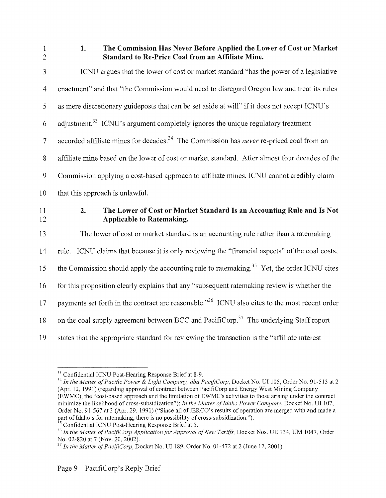1 2

# 1. The Commission Has Never Before Applied the Lower of Cost or Market Standard to Re-Price Coal from an Affiliate Mine.

| 3              | ICNU argues that the lower of cost or market standard "has the power of a legislative"                          |
|----------------|-----------------------------------------------------------------------------------------------------------------|
| $\overline{4}$ | enactment" and that "the Commission would need to disregard Oregon law and treat its rules                      |
| 5              | as mere discretionary guideposts that can be set aside at will" if it does not accept ICNU's                    |
| 6              | adjustment. <sup>33</sup> ICNU's argument completely ignores the unique regulatory treatment                    |
| $\overline{7}$ | accorded affiliate mines for decades. <sup>34</sup> The Commission has <i>never</i> re-priced coal from an      |
| $8\,$          | affiliate mine based on the lower of cost or market standard. After almost four decades of the                  |
| 9              | Commission applying a cost-based approach to affiliate mines, ICNU cannot credibly claim                        |
| 10             | that this approach is unlawful.                                                                                 |
| 11<br>12       | 2.<br>The Lower of Cost or Market Standard Is an Accounting Rule and Is Not<br><b>Applicable to Ratemaking.</b> |
| 13             | The lower of cost or market standard is an accounting rule rather than a ratemaking                             |
| 14             | rule. ICNU claims that because it is only reviewing the "financial aspects" of the coal costs,                  |
| 15             | the Commission should apply the accounting rule to ratemaking. <sup>35</sup> Yet, the order ICNU cites          |
| 16             | for this proposition clearly explains that any "subsequent ratemaking review is whether the                     |
| 17             | payments set forth in the contract are reasonable." <sup>36</sup> ICNU also cites to the most recent order      |
|                |                                                                                                                 |
| 18             | on the coal supply agreement between BCC and PacifiCorp. <sup>37</sup> The underlying Staff report              |

<sup>&</sup>lt;sup>33</sup> Confidential ICNU Post-Hearing Response Brief at 8-9.

*<sup>34</sup> ln the Matter of Pacific Power* & *Light Company, dba PacijiCorp,* Docket No. UI 105, Order No. 91-513 at2 (Apr. 12, 1991) (regarding approval of contract between PacifiCorp and Energy West Mining Company (EWMC), the "cost-based approach and the limitation ofEWMC's activities to those arising under the contract minimize the likelihood of cross-subsidization"); *In the Matter of Idaho Power Company,* Docket No. UI 107, Order No. 91-567 at 3 (Apr. 29, 1991) ("Since all of IERCO's results of operation are merged with and made a

part of Idaho's for ratemaking, there is no possibility of cross-subsidization.").<br><sup>35</sup> Confidential ICNU Post-Hearing Response Brief at 5.<br><sup>36</sup> In the Matter of PacifiCorp Application for Approval of New Tariffs, Docket N

 $^{37}$  *In the Matter of PacifiCorp*, Docket No. UI 189, Order No. 01-472 at 2 (June 12, 2001).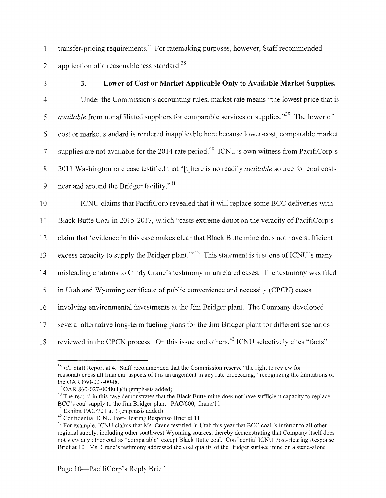1 transfer-pricing requirements." For ratemaking purposes, however, Staff recommended 2 application of a reasonableness standard.<sup>38</sup>

## 3 3. **Lower of Cost or Market Applicable Only to Available Market Supplies.**

4 Under the Commission's accounting rules, market rate means "the lowest price that is 5 *available* from nonaffiliated suppliers for comparable services or supplies."<sup>39</sup> The lower of 6 cost or market standard is rendered inapplicable here because lower-cost, comparable market 7 supplies are not available for the 2014 rate period.<sup>40</sup> ICNU's own witness from PacifiCorp's 8 2011 Washington rate case testified that "[t]here is no readily *available* source for coal costs 9 near and around the Bridger facility." $41$ 

10 ICNU claims that PacifiCorp revealed that it will replace some BCC deliveries with

11 Black Butte Coal in 2015-2017, which "casts extreme doubt on the veracity of PacifiCorp's

12 claim that 'evidence in this case makes clear that Black Butte mine does not have sufficient

13 excess capacity to supply the Bridger plant."<sup>42</sup> This statement is just one of ICNU's many

14 misleading citations to Cindy Crane's testimony in umelated cases. The testimony was filed

15 in Utah and Wyoming certificate of public convenience and necessity (CPCN) cases

16 involving environmental investments at the Jim Bridger plant. The Company developed

17 several alternative long-term fueling plans for the Jim Bridger plant for different scenarios

18 reviewed in the CPCN process. On this issue and others,<sup>43</sup> ICNU selectively cites "facts"

 $38$  *Id.*, Staff Report at 4. Staff recommended that the Commission reserve "the right to review for reasonableness all financial aspects ofthis arrangement in any rate proceeding," recognizing the limitations of the OAR 860-027-0048.<br><sup>39</sup> OAR 860-027-0048(1)(i) (emphasis added).<br><sup>40</sup> The record in this case demonstrates that the Black Butte mine does not have sufficient capacity to replace

BCC's coal supply to the Jim Bridger plant. PAC/600, Crane/11.<br><sup>41</sup> Exhibit PAC/701 at 3 (emphasis added).<br><sup>42</sup> Confidential ICNU Post-Hearing Response Brief at 11.<br><sup>43</sup> For example, ICNU claims that Ms. Crane testified in

regional supply, including other southwest Wyoming sources, thereby demonstrating that Company itself does not view any other coal as "comparable" except Black Butte coal. Confidential ICNU Post-Hearing Response Brief at 10. Ms. Crane's testimony addressed the coal quality of the Bridger surface mine on a stand-alone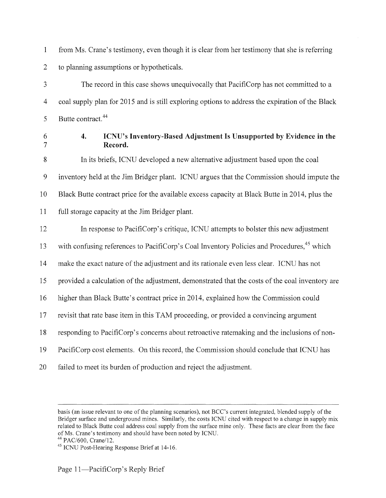1 from Ms. Crane's testimony, even though it is clear from her testimony that she is referring 2 to planning assumptions or hypotheticals.

3 The record in this case shows unequivocally that PacifiCorp has not committed to a 4 coal supply plan for 2015 and is still exploring options to address the expiration of the Black 5 Butte contract.  $44$ 

7

#### 6 4. ICNU's Inventory-Based Adjustment Is Unsupported by Evidence in the **Record.**

8 In its briefs, ICNU developed a new alternative adjustment based upon the coal 9 inventory held at the Jim Bridger plant. ICNU argues that the Commission should impute the 10 Black Butte contract price for the available excess capacity at Black Butte in 2014, plus the 11 full storage capacity at the Jim Bridger plant.

12 In response to PacifiCorp's critique, ICNU attempts to bolster this new adjustment

13 with confusing references to PacifiCorp's Coal Inventory Policies and Procedures, <sup>45</sup> which

14 make the exact nature of the adjustment and its rationale even less clear. ICNU has not

15 provided a calculation of the adjustment, demonstrated that the costs of the coal inventory are

16 higher than Black Butte's contract price in 2014, explained how the Commission could

17 revisit that rate base item in this TAM proceeding, or provided a convincing argument

18 responding to PacifiCorp's concerns about retroactive ratemaking and the inclusions of non-

- 19 PacifiCorp cost elements. On this record, the Commission should conclude that ICNU has
- 20 failed to meet its burden of production and reject the adjustment.

basis (an issue relevant to one of the planning scenarios), not BCC's current integrated, blended supply of the Bridger surface and underground mines. Similarly, the costs ICNU cited with respect to a change in supply mix related to Black Butte coal address coal supply from the surface mine only. These facts are clear from the face of Ms. Crane's testimony and should have been noted by ICNU. 44 PAC/600, Crane/12. 45 ICNU Post-Hearing Response Brief at 14-16.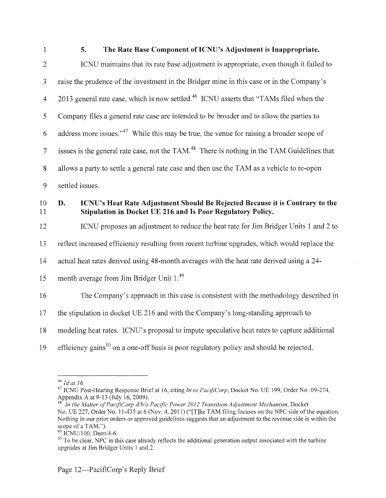#### 1 5. The Rate Base Component of ICNU's Adjustment is Inappropriate.

| $\overline{2}$           | ICNU maintains that its rate base adjustment is appropriate, even though it failed to                                                             |
|--------------------------|---------------------------------------------------------------------------------------------------------------------------------------------------|
| 3                        | raise the prudence of the investment in the Bridger mine in this case or in the Company's                                                         |
| $\overline{4}$           | 2013 general rate case, which is now settled. <sup>46</sup> ICNU asserts that "TAMs filed when the                                                |
| 5                        | Company files a general rate case are intended to be broader and to allow the parties to                                                          |
| 6                        | address more issues." <sup>47</sup> While this may be true, the venue for raising a broader scope of                                              |
| $\overline{\mathcal{I}}$ | issues is the general rate case, not the TAM. <sup>48</sup> There is nothing in the TAM Guidelines that                                           |
| $\,$ 8 $\,$              | allows a party to settle a general rate case and then use the TAM as a vehicle to re-open                                                         |
| $\mathbf{9}$             | settled issues.                                                                                                                                   |
| 10<br>11                 | ICNU's Heat Rate Adjustment Should Be Rejected Because it is Contrary to the<br>D.<br>Stipulation in Docket UE 216 and Is Poor Regulatory Policy. |
| 12                       | ICNU proposes an adjustment to reduce the heat rate for Jim Bridger Units 1 and 2 to                                                              |
| 13                       | reflect increased efficiency resulting from recent turbine upgrades, which would replace the                                                      |
| 14                       | actual heat rates derived using 48-month averages with the heat rate derived using a 24-                                                          |
| 15                       | month average from Jim Bridger Unit 1.49                                                                                                          |
| 16                       | The Company's approach in this case is consistent with the methodology described in                                                               |
| 17                       | the stipulation in docket UE 216 and with the Company's long-standing approach to                                                                 |
| 18                       | modeling heat rates. ICNU's proposal to impute speculative heat rates to capture additional                                                       |
| 19                       | efficiency gains <sup>50</sup> on a one-off basis is poor regulatory policy and should be rejected.                                               |

<sup>&</sup>lt;sup>46</sup> *Id at 16.* <br><sup>47</sup> ICNU Post-Hearing Response Brief at 16, citing *In re PacifiCorp*, Docket No. UE 199, Order No. 09-274, <br>Appendix A at 9-13 (July 16, 2009).<br><sup>48</sup> *In the Matter of PacifiCorp dible Basif* - *Proper*

<sup>&</sup>lt;sup>1</sup><br>*In the Matter of PacifiCorp d/b/a Pacific Power 2012 Transition Adjustment Mechanism, Docket* No. UE 227, Order No. 11-435 at 6 (Nov. 4, 2011) ("[T]he TAM filing focuses on the NPC side of the equation. Nothing in our prior orders or approved guidelines suggests that an adjustment to the revenue side is within the

 $\frac{49}{18}$  ICNU/100, Deen/4-6.<br><sup>50</sup> To be clear, NPC in this case already reflects the additional generation output associated with the turbine upgrades at Jim Bridger Units 1 and 2.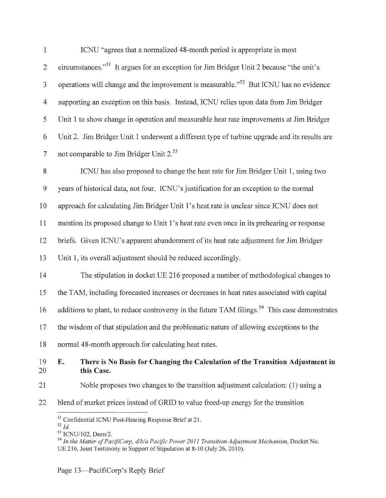| $\mathbf{1}$   | ICNU "agrees that a normalized 48-month period is appropriate in most                                     |
|----------------|-----------------------------------------------------------------------------------------------------------|
| $\overline{2}$ | circumstances." <sup>51</sup> It argues for an exception for Jim Bridger Unit 2 because "the unit's       |
| $\mathfrak{Z}$ | operations will change and the improvement is measurable." <sup>52</sup> But ICNU has no evidence         |
| $\overline{4}$ | supporting an exception on this basis. Instead, ICNU relies upon data from Jim Bridger                    |
| $\mathfrak{S}$ | Unit 1 to show change in operation and measurable heat rate improvements at Jim Bridger                   |
| 6              | Unit 2. Jim Bridger Unit 1 underwent a different type of turbine upgrade and its results are              |
| $\tau$         | not comparable to Jim Bridger Unit 2. <sup>53</sup>                                                       |
| $\,$ 8 $\,$    | ICNU has also proposed to change the heat rate for Jim Bridger Unit 1, using two                          |
| $\mathcal{G}$  | years of historical data, not four. ICNU's justification for an exception to the normal                   |
| 10             | approach for calculating Jim Bridger Unit 1's heat rate is unclear since ICNU does not                    |
| 11             | mention its proposed change to Unit 1's heat rate even once in its prehearing or response                 |
| 12             | briefs. Given ICNU's apparent abandonment of its heat rate adjustment for Jim Bridger                     |
| 13             | Unit 1, its overall adjustment should be reduced accordingly.                                             |
| 14             | The stipulation in docket UE 216 proposed a number of methodological changes to                           |
| 15             | the TAM, including forecasted increases or decreases in heat rates associated with capital                |
| 16             | additions to plant, to reduce controversy in the future TAM filings. <sup>54</sup> This case demonstrates |
| 17             | the wisdom of that stipulation and the problematic nature of allowing exceptions to the                   |
| 18             | normal 48-month approach for calculating heat rates.                                                      |
| 19<br>20       | There is No Basis for Changing the Calculation of the Transition Adjustment in<br>E.<br>this Case.        |
| 21             | Noble proposes two changes to the transition adjustment calculation: (1) using a                          |
| 22             | blend of market prices instead of GRID to value freed-up energy for the transition                        |
|                | <sup>51</sup> Confidential ICNU Post-Hearing Response Brief at 21.<br>$52$ $Id$                           |

<sup>&</sup>lt;sup>53</sup> ICNU/102, Deen/2.<br><sup>54</sup> In the Matter of PacifiCorp, d/b/a Pacific Power 2011 Transition Adjustment Mechanism, Docket No. UE 216, Joint Testimony in Support of Stipulation at 8-10 (July 26, 2010).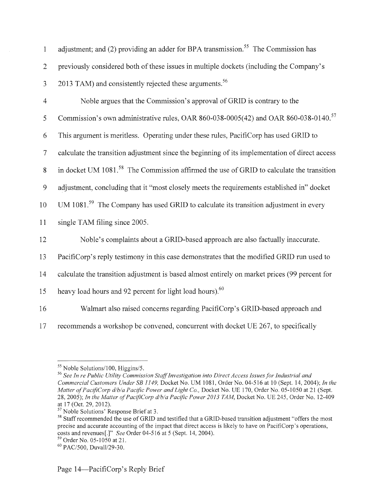| $\mathbf{1}$   | adjustment; and (2) providing an adder for BPA transmission. <sup>55</sup> The Commission has        |
|----------------|------------------------------------------------------------------------------------------------------|
| $\overline{2}$ | previously considered both of these issues in multiple dockets (including the Company's              |
| 3              | 2013 TAM) and consistently rejected these arguments. <sup>56</sup>                                   |
| $\overline{4}$ | Noble argues that the Commission's approval of GRID is contrary to the                               |
| $\mathfrak s$  | Commission's own administrative rules, OAR 860-038-0005(42) and OAR 860-038-0140. <sup>57</sup>      |
| 6              | This argument is meritless. Operating under these rules, PacifiCorp has used GRID to                 |
| $\overline{7}$ | calculate the transition adjustment since the beginning of its implementation of direct access       |
| 8              | in docket UM 1081. <sup>58</sup> The Commission affirmed the use of GRID to calculate the transition |
| 9              | adjustment, concluding that it "most closely meets the requirements established in" docket           |
| 10             | UM $1081.^{59}$ The Company has used GRID to calculate its transition adjustment in every            |
| 11             | single TAM filing since 2005.                                                                        |
| 12             | Noble's complaints about a GRID-based approach are also factually inaccurate.                        |
| 13             | PacifiCorp's reply testimony in this case demonstrates that the modified GRID run used to            |
| 14             | calculate the transition adjustment is based almost entirely on market prices (99 percent for        |
| 15             | heavy load hours and 92 percent for light load hours). <sup>60</sup>                                 |
| 16             | Walmart also raised concerns regarding PacifiCorp's GRID-based approach and                          |
| 17             | recommends a workshop be convened, concurrent with docket UE 267, to specifically                    |

<sup>&</sup>lt;sup>55</sup> Noble Solutions/100, Higgins/5.<br><sup>56</sup> See In re Public Utility Commission Staff Investigation into Direct Access Issues for Industrial and *Commercial Customers Under SB I 149,* Docket No. UM 1081, Order No. 04-516 at 10 (Sept. 14, 2004); *In the Matter of PacifiCorp d/b/a Pacific Power and Light Co., Docket No. UE 170, Order No. 05-1050 at 21 (Sept.* 28, 2005); *In the Matter of PacifiCorp d/b/a Pacific Power 2013 TAM*, Docket No. UE 245, Order No. 12-409 at 17 (Oct. 29, 2012).

at 17 (Oct. 29, 2012).<br><sup>57</sup> Noble Solutions' Response Brief at 3.<br><sup>58</sup> Staff recommended the use of GRID and testified that a GRID-based transition adjustment "offers the most precise and accurate accounting of the impact that direct access is likely to have on PacifiCorp's operations, costs and revenues[.]" *See* Order 04-516 at 5 (Sept. 14, 2004).<br><sup>59</sup> Order No. 05-1050 at 21.<br><sup>60</sup> PAC/500, Duvall/29-30.